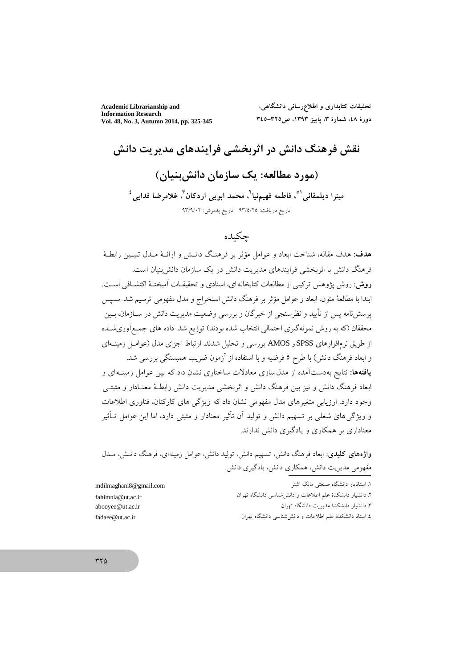**Academic Librarianship and Information Research** Vol. 48, No. 3, Autumn 2014, pp. 325-345

تحقیقات کتابداری و اطلاع٫رسانی دانشگاهی، دورهٔ ٤٨، شمارهٔ ٣، پاییز ١٣٩٣، ص7٢٥-٣٤٥

نقش فرهنگ دانش در اثربخشی فرایندهای مدیریت دانش (مورد مطالعه: یک سازمان دانش بنیان)

ميترا ديلمقاني\"، فاطمه فهيمنيا<sup>٢</sup>، محمد ابوي<sub>ت</sub>ي اردكان<sup>٣</sup>، غلامرضا فدايي<sup>،</sup> تاريخ دريافت: ٩٣/٥/٢٥ تاريخ يذيرش: ٩٣/٩/٠٢

# چكىدە

هدف: هدف مقاله، شناخت ابعاد و عوامل مؤثر بر فرهنگ دانـش و ارائــهٔ مــدل تبيــين رابطــهٔ فرهنگ دانش با اثربخشی فرایندهای مدیریت دانش در یک سازمان دانش بنیان است. روش: روش پژوهش ترکیبی از مطالعات کتابخانه ای، اسنادی و تحقیقـات آمیختـهٔ اکتشـافی اسـت. ابتدا با مطالعهٔ متون، ابعاد و عوامل مؤثر بر فرهنگ دانش استخراج و مدل مفهومی ترسیم شد. سـیس پرسشنامه پس از تأیید و نظرسنجی از خبرگان و بررسی وضعیت مدیریت دانش در ســازمان، بــین محققان (که به روش نمونهگیری احتمالی انتخاب شده بودند) توزیع شد. داده های جمـع|وریشـده از طریق نرمافزارهای SPSS و AMOS بررسی و تحلیل شدند. ارتباط اجزای مدل (عوامـل زمینــهای و ابعاد فرهنگ دانش) با طرح ٥ فرضیه و با استفاده از آزمون ضریب همبستگی بررسی شد. **یافتهها:** نتایج بهدستآمده از مدل سازی معادلات ساختاری نشان داد که بین عوامل زمینـهای و ابعاد فرهنگ دانش و نیز بین فرهنگ دانش و اثربخشی مدیریت دانش رابطـهٔ معنـادار و مثبتـی وجود دارد. ارزیابی متغیرهای مدل مفهومی نشان داد که ویژگی های کارکنان، فناوری اطلاعات و ویژگی های شغلی بر تسهیم دانش و تولید آن تأثیر معنادار و مثبتی دارد، اما این عوامل تـأثیر معناداری بر همکاری و یادگیری دانش ندارند.

واژههای کلیدی: ابعاد فرهنگ دانش، تسهیم دانش، تولید دانش، عوامل زمینهای، فرهنگ دانـش، مــدل مفهومی مدیریت دانش، همکاری دانش، یادگیری دانش.

| 6 mail.com | ١. استاديار دانشگاه صنعتي مالک اشتر                       |
|------------|-----------------------------------------------------------|
| ac.ir      | ۲. دانشیار دانشکدهٔ علم اطلاعات و دانششناسی دانشگاه تهران |
| ac.ir      | ۲ دانشیار دانشکدهٔ مدیریت دانشگاه تهران                   |
| .ir        | ٤. استاد دانشکدهٔ علم اطلاعات و دانششناسی دانشگاه تهران   |

mdilmaghani fahimnia@ut. abooyee@ut.a fadaee@ut.ac

 $rr\Delta$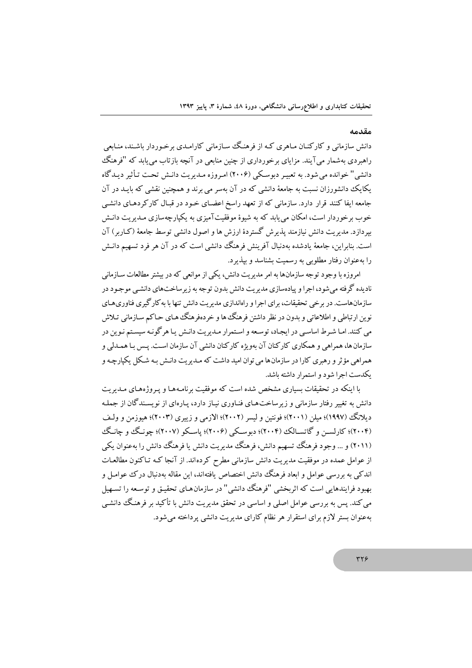#### مقدمه

دانش سازمانی و کارکنـان مـاهری کـه از فرهنگ سـازمانی کارامـدی برخـوردار باشـند، منـابعی راهبردی بهشمار میآیند. مزایای برخورداری از چنین منابعی در آنچه بازتاب می،یابد که "فرهنگ دانشی" خوانده می شود. به تعبیـر دبوسـکی (۲۰۰۶) امـروزه مـدیریت دانـش تحـت تـأثیر دیـدگاه یکایک دانشورزان نسبت به جامعهٔ دانشی که در آن بهسر می برند و همچنین نقشی که بایـد در آن جامعه ایفا کنند قرار دارد. سازمانی که از تعهد راسخ اعضـای خـود در قبـال کارکردهـای دانشـی خوب برخوردار است، امکان می پابد که به شیوهٔ موفقیتآمیزی به یکپارچهسازی مـدیریت دانـش بیردازد. مدیریت دانش نیازمند پذیرش گستردهٔ ارزش ها و اصول دانشی توسط جامعهٔ (کـاربر ) آن است. بنابراین، جامعهٔ یادشده بهدنبال آفرینش فرهنگ دانشی است که در آن هر فرد تسهیم دانـش را بهعنوان رفتار مطلوبی به رسمیت بشناسد و بیذیرد.

امروزه با وجود توجه سازمانها به امر مدیریت دانش، یکی از موانعی که در بیشتر مطالعات سیازمانی نادیده گرفته می شود، اجرا و پیادهسازی مدیریت دانش بدون توجه به زیرساختهای دانشبی موجـود در سازمانهاست. در بر خی تحقیقات، برای اجرا و راهاندازی مدیریت دانش تنها با به کار گیری فناوری هیای نو بن اد تباطي و اطلاعاتي و مدون در نظر داشتن فرهنگ ها و خردهفرهنگ هياي حياكم سيازماني تيلاش می کنند. امـا شـرط اساسـی در ایجـاد، توسـعه و اسـتمرار مـدبریت دانـش بـا هر گونـه سیسـتم نـوین در سازمان ها، همراهي و همكاري كاركنان آن يهويژه كاركنان دانشي آن سازمان است. پـس بـا همــدلي و همراهي مؤثر و رهبري كارا در سازمان ها مي توان اميد داشت كه مـديريت دانـش بـه شـكل يكيار چـه و یکدست اجرا شود و استمرار داشته باشد.

با اینکه در تحقیقات بسیاری مشخص شده است که موفقت برنامیههیا و ب وژههای میدیریت دانش به تغییر رفتار سازمانی و زیرساختهای فنـاوری نیـاز دارد، پـارهای از نویسـندگان از جملـه ديلانگ (١٩٩٧)؛ ميلن (٢٠٠١)؛ فونتين و ليسر (٢٠٠٢)؛ الازمي و زيبري (٢٠٠٣)؛ هيوزمن و ولـف (۲۰۰۴)؛ کارلســن و گاتســالک (۲۰۰۴)؛ دىوســکى (۲۰۰۶)؛ ياســکو (۲۰۰۷)؛ چونـگ و چانـگ (۲۰۱۱) و … وجود فرهنگ تسهیم دانش، فرهنگ مدیریت دانش یا فرهنگ دانش را بهعنوان یکی از عوامل عمده در موفقیت مدیریت دانش سازمانی مطرح کرده اند. از آنجا کـه تـاکنون مطالعـات اندکی به بررسی عوامل و ابعاد فرهنگ دانش اختصاص یافتهاند، این مقاله مهدنیال درک عوامیل و بهبود فرایندهایی است که اثریخشی "فرهنگ دانشی" در سازمان هـای تحقیـق و توسـعه را تسـهبل می کند. پس به بررسی عوامل اصلی و اساسی در تحقق مدیریت دانش با تأکید بر فرهنگ دانشی بهعنوان بستر لازم برای استقرار هر نظام کارای مدیریت دانشی پرداخته می شود.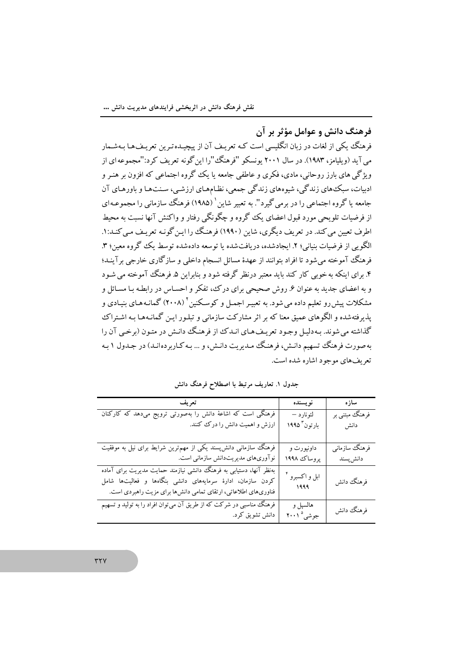فرهنگ دانش و عوامل مؤثر بر آن

فرهنگ یکی از لغات در زبان انگلیسی است کـه تعریـف آن از پیچیـدهتـرین تعریـفـهـا بـهشـمار می آید (ویلیامز، ۱۹۸۳). در سال ۲۰۰۱ پونسکو "فرهنگ "را این گونه تعریف کرد:"مجموعه ای از ویژگی های بارز روحانی، مادی، فکری و عاطفی جامعه یا یک گروه اجتماعی که افزون بر هنـر و ادبیات، سبک های زندگی، شیوههای زندگی جمعی، نظـامهـای ارزشـی، سـنتهـا و باورهـای آن جامعه یا گروه اجتماعی را در برمی گیرد". به تعبیر شاین ` (۱۹۸۵) فرهنگ سازمانی را مجموعـهای از فرضیات تلویحی مورد قبول اعضای یک گروه و چگونگی رفتار و واکنش آنها نسبت به محیط اطرف تعیین می کند. در تعریف دیگری، شاین (۱۹۹۰) فرهنگ را این گونـه تعریـف مـی کنـد: ۱. الگویی از فرضیات بنیانی؛ ۲. ایجادشده، دریافتشده یا توسعه دادهشده توسط یک گروه معین؛ ۳. فرهنگ آموخته می شود تا افراد پتوانند از عهدهٔ مسائل انسجام داخلی و سازگاری خارجی بر آینـد؛ ۴. برای اینکه به خوبی کار کند باید معتبر درنظر گرفته شود و پنابراین ۵. فرهنگ آموخته می شبود و به اعضای جدید به عنوان ۶. روش صحیحی برای در ک، تفکر و احسـاس در رابطـه بـا مسـائل و مشکلات پیش رو تعلیم داده می شود. به تعییر اجمیل و کوسکنین<sup>۲</sup> (۲۰۰۸) گمانـه هـای ښـادی و یذبرفتهشده و الگوهای عمبق معنا که بر اثر مشارکت سازمانی و تبلبور این گمانیهها به اشتراک گذاشته می شوند. په دلیل وجود تعریف هیای انید ک از فرهنگ دانش در متون (برخبی آن را په صورت فرهنگ تسهیم دانـش، فرهنـگ مـدیریت دانـش، و … بـه کـاربر دهانـد) در جـدول ۱ به تعریفهای موجود اشاره شده است.

| تعريف                                                                                                                                                                                               | نويسنده                               | سازه                       |
|-----------------------------------------------------------------------------------------------------------------------------------------------------------------------------------------------------|---------------------------------------|----------------------------|
| فرهنگی است که اشاعهٔ دانش را بهصورتی ترویج میدهد که کارکنان<br>ارزش و اهمیت دانش را درک کنند.                                                                                                       | لئونارد –<br>بارتون <sup>۳</sup> ۱۹۹۵ | فرهنگ مبتنی بر<br>دانش     |
|                                                                                                                                                                                                     |                                       |                            |
| فرهنگ سازمانی دانشپسند یکی از مهمترین شرایط برای نیل به موفقیت<br>نوآوریهای مدیریتدانش سازمانی است.                                                                                                 | داونپورت و<br>پروساك ١٩٩٨             | فرهنگ سازماني<br>دانش پسند |
| بهنظر آنها، دستیابی به فرهنگ دانشی نیازمند حمایت مدیریت برای آماده<br>کردن سازمان، ادارهٔ سرمایههای دانشی بنگاهها و فعالیتها شامل<br>فناوریهای اطلاعاتی، ارتقای تمامی دانشها برای مزیت راهبردی است. | ابل و اکسبرو<br>1999                  | فرهنگ دانش                 |
| فرهنگ مناسبی در شرکت که از طریق آن میتوان افراد را به تولید و تسهیم<br>دانش تشویق کرد.                                                                                                              | هالسپل و<br>جوشی° ۲۰۰۱                | فرهنگ دانش                 |

جدول ۱. تعاریف مرتبط با اصطلاح فرهنگ دانش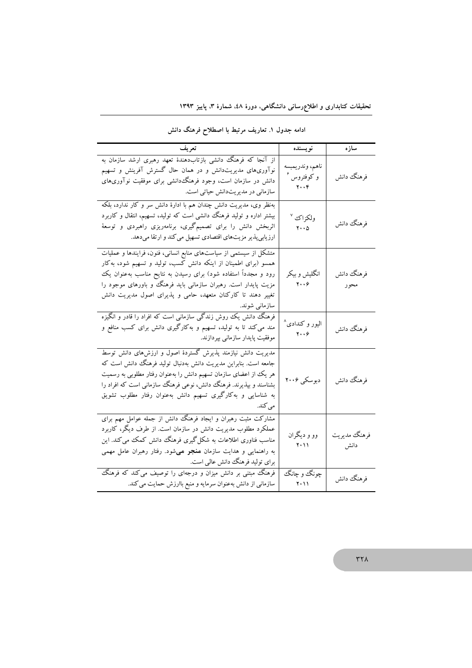| تعريف                                                                                                                                                                                                                                                                                                                                                  | نويسنده                                                                          | سازه                 |
|--------------------------------------------------------------------------------------------------------------------------------------------------------------------------------------------------------------------------------------------------------------------------------------------------------------------------------------------------------|----------------------------------------------------------------------------------|----------------------|
| از آنجا که فرهنگ دانشی بازتابدهندهٔ تعهد رهبری ارشد سازمان به<br>نوآوریهای مدیریتدانش و در همان حال گسترش آفرینش و تسهیم<br>دانش در سازمان است، وجود فرهنگ،دانشی برای موفقیت نوآوریهای<br>سازمانی در مدیریتدانش حیاتی است.                                                                                                                             | ناهم، وندريمبسه<br>و کوفتروس <sup>ء</sup><br>$\mathbf{Y} \cdot \cdot \mathbf{F}$ | فرهنگ دانش           |
| بهنظر وی، مدیریت دانش چندان هم با ادارهٔ دانش سر و کار ندارد، بلکه<br>بیشتر اداره و تولید فرهنگ دانشی است که تولید، تسهیم، انتقال و کاربرد<br>اثربخش دانش را برای تصمیمگیری، برنامهریزی راهبردی و توسعهٔ<br>ارزیابیپذیر مزیتهای اقتصادی تسهیل میکند و ارتقا میدهد.                                                                                     | ولكزاك <sup>٧</sup><br>$\mathbf{Y} \cdot \cdot \mathbf{A}$                       | فرهنگ دانش           |
| متشکل از سیستمی از سیاستهای منابع انسانی، فنون، فرایندها و عملیات<br>همسو (برای اطمینان از اینکه دانش کسب، تولید و تسهیم شود، بهکار<br>رود و مجدداً استفاده شود) برای رسیدن به نتایح مناسب بهعنوان یک<br>مزیت پایدار است. رهبران سازمانی باید فرهنگ و باورهای موجود را<br>تغییر دهند تا کارکنان متعهد، حامی و پذیرای اصول مدیریت دانش<br>سازمانی شوند. | انگلیش و بیکر<br>$\mathbf{y} \cdot \cdot \mathbf{y}$                             | فرهنگ دانش<br>محور   |
| فرهنگ دانش یک روش زندگی سازمانی است که افراد را قادر و انگیزه<br>مند می کند تا به تولید، تسهیم و بهکارگیری دانش برای کسب منافع و<br>موفقیت پایدار سازمانی بپردازند.                                                                                                                                                                                    | اليور و کندادی <sup>^</sup><br>$\mathbf{y} \cdot \cdot \mathbf{y}$               | فرهنگ دانش           |
| مدیریت دانش نیازمند پذیرش گستردهٔ اصول و ارزشهای دانش توسط<br>جامعه است. بنابراین مدیریت دانش بهدنبال تولید فرهنگ دانش است که<br>هر یک از اعضای سازمان تسهیم دانش را بهعنوان رفتار مطلوبی به رسمیت<br>بشناسند و بپذیرند. فرهنگ دانش، نوعی فرهنگ سازمانی است که افراد را<br>به شناسایی و بهکارگیری تسهیم دانش بهعنوان رفتار مطلوب تشویق<br>می کند.      | دبوسکی ۲۰۰۶                                                                      | فرهنگ دانش           |
| مشارکت مثبت رهبران و ایجاد فرهنگ  دانش از جمله عوامل مهم برای<br>عملکرد مطلوب مدیریت دانش در سازمان است. از طرف دیگر، کاربرد<br>مناسب فناوری اطلاعات به شکل گیری فرهنگ دانش کمک می کند. این<br>به راهنمایی و هدایت سازمان <b>منجر می</b> شود. رفتار رهبران عامل مهمی<br>برای تولید فرهنگ دانش عالمی است.                                               | وو و دیگران<br>$Y \cdot Y Y$                                                     | فرهنگ مديريت<br>دانش |
| فرهنگ مبتنی بر دانش میزان و درجهای را توصیف می کند که فرهنگ<br>سازمانی از دانش بهعنوان سرمایه و منبع باارزش حمایت می کند.                                                                                                                                                                                                                              | چونگ و چانگ<br>$Y \cdot Y$                                                       | فرهنگ دانش           |

ادامه جدول ۱. تعاریف مرتبط با اصطلاح فرهنگ دانش

 $\tau\tau\lambda$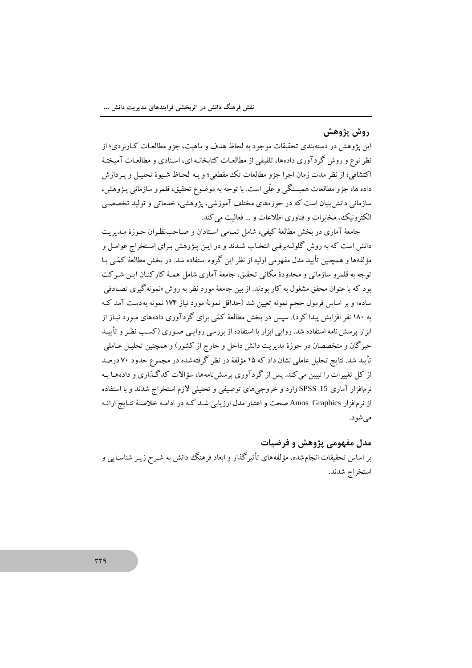## روش پژوهش

این پژوهش در دستهبندی تحقیقات موجود به لحاظ هدف و ماهیت، جزو مطالعـات کـاربردی؛ از نظر نوع و روش گردآوری دادهها، تلفیقی از مطالعـات کتابخانـه ای، اسـنادی و مطالعـات آمیختـهٔ اكتشافي؛ از نظر مدت زمان اجرا جزو مطالعات تك مقطعي؛ و بـه لحـاظ شـيوهٔ تحليـل و يـردازش داده ها، جزو مطالعات همبستگی و علَّی است. با توجه به موضوع تحقیق، قلمرو سازمانی پـژوهش، سازمانی دانش بنیان است که در حوزههای مختلف آموزشی، پژوهشی، خدماتی و تولید تخصصی الکترونیک، مخابرات و فناوری اطلاعات و … فعالیت می کند.

جامعهٔ آماری در بخش مطالعهٔ کیفی، شامل تمـامی اسـتادان و صـاحبنظـران حـوزهٔ مـدیریت دانش است که به روش گلولـهبرفـي انتخـاب شـدند و در ايـن پـژوهش بـراي اسـتخراج عوامـل و مؤلفهها و همچنین تأیید مدل مفهومی اولیه از نظر این گروه استفاده شد. در بخش مطالعهٔ کمّی بـا توجه به قلمرو سازمانی و محدودهٔ مکانی تحقیق، جامعهٔ آماری شامل همـهٔ کارکنـان ایـن شـرکت بود که با عنوان محقق مشغول به کار بودند. از بین جامعهٔ مورد نظر به روش «نمونه گیری تصـادفی ساده» و بر اساس فرمول حجم نمونه تعیین شد (حداقل نمونهٔ مورد نیاز ۱۷۴ نمونه بهدست آمد ک به ۱۸۰ نفر افزایش پیدا کرد). سپس در بخش مطالعهٔ کمّی برای گردآوری دادههای مـورد نبـاز از ابزار پرسش نامه استفاده شد. روایی ابزار با استفاده از بررسی روایـی صـوری (کسـب نظـر و تأییـد خبرگان و متخصصان در حوزهٔ مدیریت دانش داخل و خارج از کشور) و همچنین تحلیـل عـاملی تأیید شد. نتایج تحلیل عاملی نشان داد که ۱۵ مؤلفهٔ در نظر گرفتهشده در مجموع حدود ۷۰ درصد از کل تغییرات را تبیین می کند. پس از گردآوری پرسشiامهها، سؤالات کدگذاری و دادهها بـه نرمافزار آماری SPSS 15 وارد و خروجی های توصیفی و تحلیلی لازم استخراج شدند و با استفاده از نرمافزار Amos Graphics صحت و اعتبار مدل ارزیابی شـد کـه در ادامـه خلاصـهٔ نتـایج ارائـه مے شو د.

مدل مفهومی پژوهش و فرضیات بر اساس تحقیقات انجامشده، مؤلفههای تأثیرگذار و ابعاد فرهنگ دانش به شـرح زیـر شناسـایی و استخراج شدند.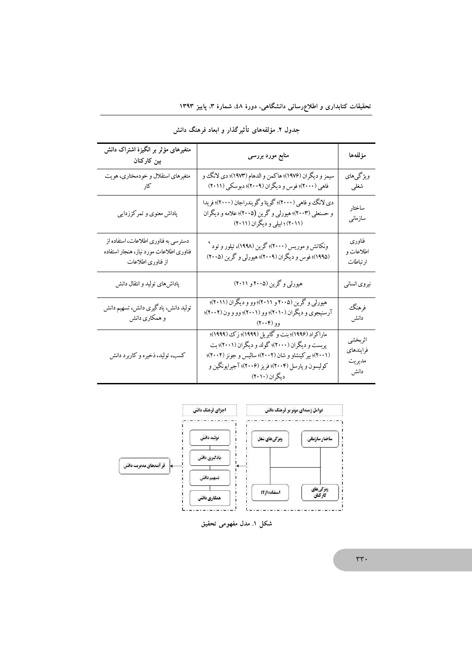| متغیرهای مؤثر بر انگیزهٔ اشتراک دانش<br>بین کارکنان                                                  | منابع مورد بررسی                                                                                                                                                                                                                   | مؤلفهها                                |
|------------------------------------------------------------------------------------------------------|------------------------------------------------------------------------------------------------------------------------------------------------------------------------------------------------------------------------------------|----------------------------------------|
| متغیرهای استقلال و خودمختاری، هویت<br>کا,                                                            | سيمز و ديگران (١٩٧۶)؛ هاكمن و الدهام (١٩٧٣)؛ دي لانگ و<br>فاهي (٢٠٠٠)؛ فوس و ديگران (٢٠٠٩)؛ دبوسكي (٢٠١١)                                                                                                                          | ویژگیهای<br>شغلى                       |
| پاداش معنوی و تمرکززدایی                                                                             | دي لانگ وو فاهي (٢٠٠٠)؛ گوپتا وگويندراجان (٢٠٠٠)؛ فريدا<br>و حسنعلي (۲۰۰۳)؛ هیورلي و گرین (۲۰۰۵)؛ علامه و دیگران<br>(۲۰۱۱) ؛ ابیلی و دیگران (۲۰۱۱)                                                                                 | ساختار<br>سازمانى                      |
| دسترسی به فناوری اطلاعات، استفاده از<br>فناورى اطلاعات مورد نياز، هنجار استفاده<br>از فناوری اطلاعات | ونکاتش و موریس (۲۰۰۰)؛ گرین (۱۹۹۸)، تیلور و تود <sup>۹</sup><br>(۱۹۹۵)؛ فوس و دیگران (۲۰۰۹)؛ هیورلی و گرین (۲۰۰۵)                                                                                                                  | فناورى<br>اطلاعات و<br>ارتباطات        |
| پاداشهای تولید و انتقال دانش                                                                         | هیورلی و گرین (۲۰۰۵ و ۲۰۱۱)                                                                                                                                                                                                        | نیروی انسانی                           |
| تولید دانش، یادگیری دانش، تسهیم دانش<br>و همکاری دانش                                                | هیورلی و گرین (۲۰۰۵ و ۲۰۱۱)؛ وو و دیگران (۲۰۱۱)؛<br>آرسنیجوی و دیگران (۲۰۱۰)؛ وو (۲۰۰۱)؛ وو و ون (۲۰۰۲)؛<br>وو (۲۰۰۴)                                                                                                              | فرهنگ<br>دانش                          |
| کسب، تولید، ذخیره و کاربرد دانش                                                                      | ماراکراد (۱۹۹۶)؛ بنت و گابریل (۱۹۹۹)؛ زک (۱۹۹۹)؛<br>پربست و دیگران (۲۰۰۰)؛ گولد و دیگران (۲۰۰۱)؛ بت<br>(۲۰۰۱)؛ بیرکینشاو و شان (۲۰۰۲)؛ سالیس و جونز (۲۰۰۲)؛<br>کولیسون و پارسل (۲۰۰۴)؛ فریز (۲۰۰۶)؛ آجیراپونگپن و<br>دیگران (۲۰۱۰) | اثربخشي<br>فرايندهاى<br>مديريت<br>دانش |

جدول ۲. مؤلفههای تأثیرگذار و ابعاد فرهنگ دانش



شکل ۱. مدل مفهومی تحقیق

 $\mathsf{r}\mathsf{r}\mathsf{\cdot}$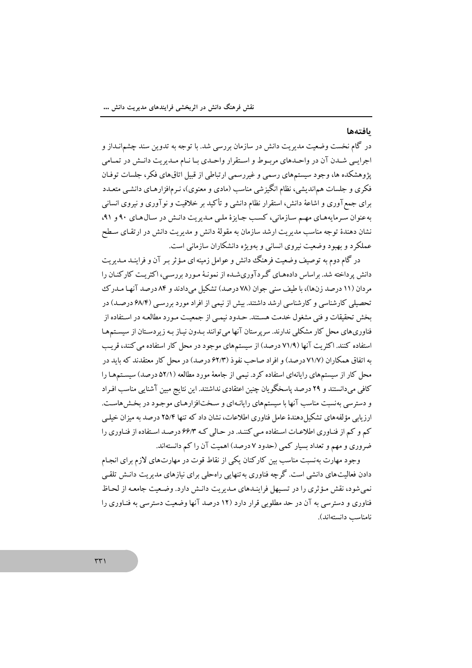### بافتهها

در گام نخست وضعیت مدیریت دانش در سازمان بررسی شد. با توجه به تدوین سند چشمانـداز و اجرایـی شـدن آن در واحـدهای مربـوط و اسـتقرار واحـدی بـا نـام مـدیریت دانـش در تمـامی پژوهشکده ها، وجود سیستمهای رسمی و غیررسمی ارتباطی از قبیل اتاقهای فکر، جلسات توفـان فکری و جلسات هماندیشی، نظام انگیزشی مناسب (مادی و معنوی)، نـرمافزارهـای دانشــی متعـدد برای جمعآوری و اشاعهٔ دانش، استقرار نظام دانشی و تأکید بر خلاقیت و نوآوری و نیروی انسانی به عنوان سرمایههای مهم سازمانی، کسب جایزهٔ ملی مدیریت دانش در سال های ۹۰ و ۹۱، .<br>نشان دهندهٔ توجه مناسب مدیریت ارشد سازمان به مقولهٔ دانش و مدیریت دانش در ارتقـای سـطح عملکرد و بهبود وضعیت نیروی انسانی و بهویژه دانشکاران سازمانی است.

در گام دوم به توصیف وضعیت فرهنگ دانش و عوامل زمینه ای مـؤ ثر پـر آن و فراینـد مـدیریت دانش پر داخته شد. براساس دادههـای گـر دآوریشـده از نمونـهٔ مـورد بررسـی، اکثریـت کارکنـان را مردان (١١ درصد زنها)، با طيف سني جوان (٧٨ درصد) تشكيل مي دادند و ٨۴ درصد آنهـا مـدرك تحصیلی کارشناسی و کارشناسی ارشد داشتند. بیش از نیمی از افراد مورد بررسبی (۶۸/۴ درصـد) در بخش تحقیقات و فنی مشغول خدمت هستند. حـدود نبمـی از جمعیـت مـورد مطالعـه در اسـتفاده از .<br>فناوریهای محل کار مشکلی ندارند. سرپرستان آنها می توانند سدون نساز سه زیردسـتان از سیسـتمهـا استفاده کنند. اکثر یت آنها (۷۱/۹ درصد) از سیستمهای موجود در محل کار استفاده می کنند، قریب به اتفاق همکاران (۷۱/۷ درصد) و افراد صاحب نفوذ (۶۲/۳ درصد) در محل کار معتقدند که باید در محل کار از سیستمهای رایانهای استفاده کرد. نیمی از جامعهٔ مورد مطالعه (۵۲/۱ درصد) سیستمهما را کافی می دانستند و ۲۹ درصد پاسخگو بان چنین اعتقادی نداشتند. این نتایج مبین آشنایی مناسب افیراد و دسترسی بهنسبت مناسب آنها با سیستمهای رایانـهای و سـختافزارهـای موجـود در بخـش هاسـت. ارزیابی مؤلفههای تشکیل دهندهٔ عامل فناوری اطلاعات، نشان داد که تنها ۲۵/۴ درصد به میزان خیلبی کم و کم از فناوری اطلاعات استفاده می کنند. در حالی که ۶۶/۳ درصد استفاده از فناوری را ضروری و مهم و تعداد بسیار کمی (حدود ۷ درصد) اهمیت آن را کم دانستهاند.

وجود مهارت بهنسبت مناسب بین کارکنان یکی از نقاط قوت در مهارتهای لازم برای انجـام دادن فعالیتهای دانشی است. گرچه فناوری به تنهایی راهحلی برای نبازهای مدیریت دانـش تلقـی نمی شود، نقش مؤثری را در تسیهل فراینـدهای مـدیریت دانـش دارد. وضـعیت جامعـه از لحـاظ فناوری و دسترسی به آن در حد مطلوبی قرار دارد (۱۲ درصد آنها وضعیت دسترسی به فنـاوری را نامناسب دانستهاند).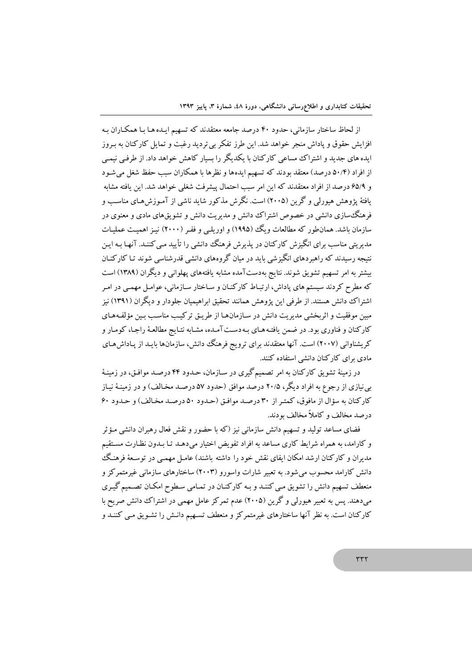از لحاظ ساختار سازمانی، حدود ۴۰ درصد جامعه معتقدند که تسهیم ایـده هـا بـا همکـاران بـه افزایش حقوق و یاداش منجر خواهد شد. این طرز تفکر بی تردید رغبت و تمایل کارکنان به بـروز ایده های جدید و اشتراک مساعی کارکنان با یکدیگر را بسیار کاهش خواهد داد. از طرفبی نیمبی از افراد (۵۰/۴ درصد) معتقد بودند که تسهیم ایدهها و نظرها با همکاران سبب حفظ شغل می شـود و ۶۵/۹ درصد از افراد معتقدند که این امر سبب احتمال پیشرفت شغلی خواهد شد. این یافته مشابه یافتهٔ یژوهش هیورلی و گرین (۲۰۰۵) است. نگرش مذکور شاید ناشی از آمـوزش۵مـای مناسـب و فرهنگ سازی دانشی در خصوص اشتراک ددانش و مدیریت دانش و تشویقهای مادی و معنوی در سازمان باشد. همانطور که مطالعات ویگ (۱۹۹۵) و اوریلبی و ففـر (۲۰۰۰) نیـز اهمیـت عملیـات مدیریتی مناسب برای انگیزش کارکنان در پذیرش فرهنگ دانشی را تأیید مـی کننـد. آنهـا بـه ایـن .<br>نتیجه رسیدند که راهبردهای انگیزشی باید در میان گروههای دانشی قدرشناسی شوند تـا کارکنــان بیشتر به امر تسهیم تشویق شوند. نتایج بهدستآمده مشابه یافتههای پهلوانی و دیگران (۱۳۸۹) است که مطرح کردند سیستم های یاداش، ارتبـاط کارکنـان و سـاختار سـازمانی، عوامـل مهمـی در امـر اشتراک دانش هستند. از طرفی این پژوهش همانند تحقیق ابراهیمیان جلودار و دیگران (۱۳۹۱) نبز مبین موفقیت و اثربخشی مدیریت دانش در سـازمانهـا از طریــق ترکیـب مناسـب بـین مؤلفـههـای کارکنان و فناوری بود. در ضمن یافته هـای بـهدسـت آمـده، مشـابه نتـایج مطالعـهٔ راجـا، کومـار و کریشناوانی (۲۰۰۷) است. آنها معتقدند برای ترویج فرهنگ دانش، سازمانها بایـد از یـاداش هـای مادی برای کارکنان دانشی استفاده کنند.

در زمبنهٔ تشویق کارکنان به امر تصمیمگیری در سـازمان، حـدود ۴۴ درصـد موافـق، در زمینـهٔ بی نیازی از رجوع به افراد دیگر، ۲۰/۵ درصد موافق (حدود ۵۷ درصـد مخـالف) و در زمینـهٔ نیـاز کارکنان به سؤال از مافوق، کمتر از ۳۰ درصد موافق (حدود ۵۰ درصد مخالف) و حدود ۶۰ درصد مخالف و کاملاً مخالف بودند.

فضای مساعد تولید و تسهیم دانش سازمانی نیز (که با حضور و نقش فعال رهبران دانشی مـؤثر و کارامد، به همراه شرایط کاری مساعد به افراد تفویض اختیار میدهـد تـا بـدون نظـارت مسـتقیم مدیران و کارکنان ارشد امکان ایفای نقش خود را داشته باشند) عامـل مهمـی در توسـعهٔ فرهنـگ دانش کارامد محسوب می شود. به تعبیر شارات واسورو (۲۰۰۳) ساختارهای سازمانی غیرمتمرکز و منعطف تسهیم دانش را تشویق مبی کننـد و بـه کارکنـان در تمـامی سـطوح امکـان تصـمیم گیـری می دهند. یس به تعبیر هیورلی و گرین (۲۰۰۵) عدم تمرکز عامل مهمی در اشتراک دانش صریح با کارکنان است. به نظر آنها ساختارهای غیرمتمرکز و منعطف تسـهیم دانـش را تشـویق مـی کننـد و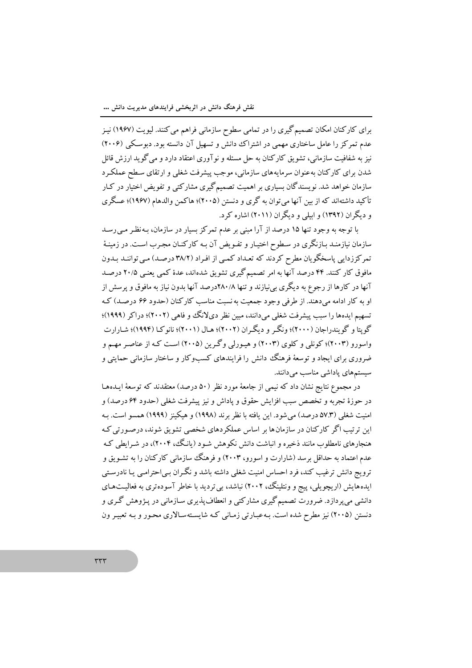برای کارکنان امکان تصمیم گیری را در تمامی سطوح سازمانی فراهم می کنند. لیویت (۱۹۶۷) نیـز عدم تمرکز را عامل ساختاری مهمی در اشتراک دانش و تسهیل آن دانسته بود. دبوسکی (۲۰۰۶) نیز به شفافیت سازمانی، تشویق کارکنان به حل مسئله و نوآوری اعتقاد دارد و می گوید ارزش قائل شدن برای کارکنان به عنوان سرمایههای سازمانی، موجب پیشرفت شغلبی و ارتقای سـطح عملکـرد سازمان خواهد شد. نویسندگان بسیاری بر اهمیت تصمیمگیری مشارکتی و تفویض اختیار در کـار تأکید داشتهاند که از بین آنها میتوان به گری و دنستن (۲۰۰۵)؛ هاکمن والدهام (۱۹۶۷)؛ عسگری و دیگران (۱۳۹۲) و اسلی و دیگران (۲۰۱۱) اشاره کرد.

با توجه به وجود تنها ۱۵ درصد از آرا مبنی بر عدم تمرکز بسیار در سازمان، بـه نظـر مـی(سـد سازمان نیازمنـد بـازنگری در سـطوح اختیـار و تفـویض آن بـه کارکنـان مجـرب اسـت. در زمینـهٔ تمرکز زدایی پاسخگویان مطرح کردند که تعـداد کمـی از افـراد (۳۸/۲ درصـد) مـی تواننـد بـدون مافوق کار کنند. ۴۴ درصد آنها به امر تصمیم گیری تشویق شدهاند، عدهٔ کمی یعنبی ۲۰/۵ درصد آنها در کارها از رجوع به دیگری بی نیازند و تنها ۲۸۰/۸درصد آنها بدون نیاز به مافوق و پرسش از او به کار ادامه می دهند. از طرفی وجود جمعیت به نسبت مناسب کارکنان (حدود ۶۶ درصـد) کـه تسهیم ایدهها را سبب پیشرفت شغلبی میدانند، مبین نظر دیلانگ و فاهی (۲۰۰۲)؛ دراکر (۱۹۹۹)؛ گويتا و گويندراجان (٢٠٠٠)؛ ونگر و ديگران (٢٠٠٢)؛ هـال (٢٠٠١)؛ نانوکـا (١٩٩۴)؛ شـارارت واسورو (۲۰۰۳)؛ کونلی و کلوی (۲۰۰۳) و هیـورلی وگـرین (۲۰۰۵) اسـت کـه از عناصـر مهـم و ضروری برای ایجاد و توسعهٔ فرهنگ دانش را فرایندهای کسبوکار و ساختار سازمانی حمایتی و سیستمهای پاداشی مناسب میدانند.

در مجموع نتایج نشان داد که نیمی از جامعهٔ مورد نظر (۵۰ درصد) معتقدند که توسعهٔ ایـدههـا در حوزهٔ تجربه و تخصص سبب افزایش حقوق و پاداش و نیز پیشرفت شغلی (حدود ۶۴ درصد) و امنیت شغلی (۵۷.۳ درصد) می شود. این یافته با نظر برند (۱۹۹۸) و هیکینز (۱۹۹۹) همسو است. بـه این ترتیب اگر کارکنان در سازمانها بر اساس عملکردهای شخصی تشویق شوند، درصورتی کـه هنجارهای نامطلوب مانند ذخیره و انباشت دانش نکوهش شـود (پانگ، ۲۰۰۴)، در شـرایطی کـه عدم اعتماد به حداقل برسد (شارارت و اسورو، ۲۰۰۳) و فرهنگ سازمانی کارکنان را به تشـویق و ترویج دانش ترغیب کند، فرد احساس امنیت شغلی داشته باشد و نگـران بـی|حترامـی یـا نادرسـتی ایدههایش (اریچویلی، پیج و ونتلینگ، ۲۰۰۲) نباشد، بی تردید با خاطر آسودهتری به فعالیتهای دانشی می پردازد. ضرورت تصمیم گیری مشارکتی و انعطاف پذیری سـازمانی در پـژوهش گـری و دنستن (۲۰۰۵) نیز مطرح شده است. بـهعبـارتی زمـانی کـه شایسـتهسـالاری محـور و بـه تعبيـر ون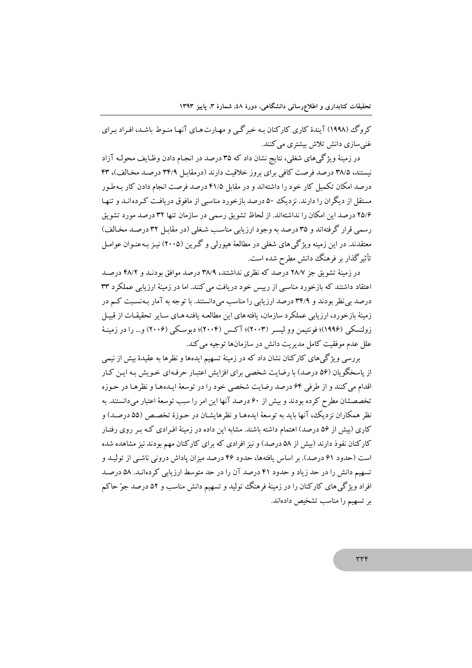کروگ (۱۹۹۸) آیندهٔ کاری کارکنان به خبرگے و مهـارت هـای آنهـا منـوط باشـد، افـراد بـرای غنے سازی دانش تلاش پیشتری میںکنند.

در زمینهٔ ویژگیهای شغلی، نتایج نشان داد که ۳۵ درصد در انجـام دادن وظـایف محولـه آزاد نیستند، ۳۸/۵ درصد فرصت کافی برای بروز خلاقیت دارند (درمقابل ۳۴/۹ درصد مخالف)، ۴۳ درصد امکان تکمیل کار خود را داشتهاند و در مقابل ۴۱/۵ درصد فرصت انجام دادن کار بهطور مستقل از دیگران را دارند. نزدیک ۵۰ درصد بازخورد مناسبی از مافوق دریافت کـردهانــد و تنهـا ۲۵/۶ درصد این امکان را نداشتهاند. از لحاظ تشویق رسمی در سازمان تنها ۳۲ درصد مورد تشویق رسمی قرار گرفتهاند و ۳۵ درصد به وجود ارزیابی مناسب شغلی (در مقابل ۳۲ درصد مخالف) معتقدند. در این زمینه ویژگی های شغلی در مطالعهٔ هیورلی و گـرین (۲۰۰۵) نیـز بـهعنـوان عوامـل تأثیر گذار بر فرهنگ دانش مطرح شده است.

در زمینهٔ تشویق جز ۲۸/۷ درصد که نظری نداشتند، ۳۸/۹ درصد موافق بودنـد و ۴۸/۲ درصـد اعتقاد داشتند که بازخورد مناسبی از رییس خود دریافت می کنند. اما در زمینهٔ ارزیابی عملکرد ۳۳ درصد بی نظر بودند و ۳۴/۹ درصد ارزیابی را مناسب میدانستند. با توجه به آمار بـهنسـبت کـم در زمینهٔ بازخورد، ارزیابی عملکرد سازمان، یافته های این مطالعـه یافتـه هـای سـایر تحقیقـات از قبیـل زولنسکمی (۱۹۹۶)؛ فونتیمن وو لیسـر (۲۰۰۳)؛ آکـس (۲۰۰۴)؛ دبوسـکی (۲۰۰۶) و… را در زمینـهٔ علل عدم موفقیت کامل مدیریت دانش در سازمانها توجیه می کند.

بررسی ویژگیهای کارکنان نشان داد که در زمینهٔ تسهیم ایدهها و نظرها به عقیدهٔ بیش از نیمی از پاسخگویان (۵۶ درصد) با رضایت شخصی برای افزایش اعتبار حرفهای خـویش بـه ایـن کـار اقدام مي كنند و از طرفي ۶۴ درصد رضايت شخصي خود را در توسعهٔ ايـدههـا و نظرهـا در حـوزه تخصصشان مطرح کرده بودند و بیش از ۶۰ درصد آنها این امر را سبب توسعهٔ اعتبار می دانستند. به نظر همکاران نزدیک، آنها باید به توسعهٔ ایدههـا و نظرهایشـان در حـوزهٔ تخصـص (۵۵ درصـد) و کاری (بیش از ۵۶ درصد) اهتمام داشته باشند. مشابه این داده در زمینهٔ افـرادی کـه بـر روی رفتـار کارکنان نفوذ دارند (بیش از ۵۸ درصد) و نیز افرادی که برای کارکنان مهم بودند نیز مشاهده شده است (حدود ۶۱ درصد). بر اساس یافتهها، حدود ۴۶ درصد میزان یاداش درونی ناشبی از تولیـد و تسهیم دانش را در حد زیاد و حدود ۴۱ درصد آن را در حد متوسط ارزیابی کردهانـد. ۵۸ درصـد افراد ویژگی های کارکنان را در زمینهٔ فرهنگ تولید و تسهیم دانش مناسب و ۵۲ درصد جوّ حاکم بر تسهیم را مناسب تشخیص دادهاند.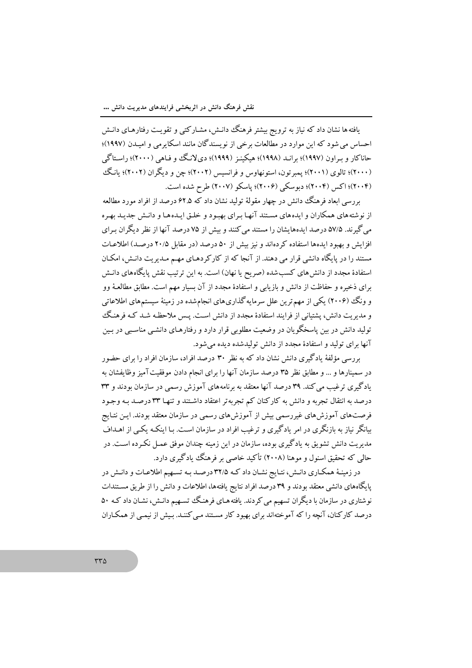یافته ها نشان داد که نیاز به ترویج بیشتر فرهنگ دانـش، مشـارکتبی و تقویـت رفتارهـای دانـش احساس می شود که این موارد در مطالعات برخی از نویسندگان مانند اسکایرمی و امیـدن (۱۹۹۷)؛ حاناکار و بـراون (۱۹۹۷)؛ برانـد (۱۹۹۸)؛ هیکینـز (۱۹۹۹)؛ دیلانگ و فـاهی (۲۰۰۰)؛ راسـتاگی (۲۰۰۰)؛ تالوي (۲۰۰۱)؛ پمبرتون، استونهاوس و فرانسيس (۲۰۰۲)؛ چن و ديگران (۲۰۰۲)؛ يانگ (۲۰۰۴)؛ اکس (۲۰۰۴)؛ دبوسکی (۲۰۰۶)؛ یاسکو (۲۰۰۷) طرح شده است.

بررسی ابعاد فرهنگ دانش در چهار مقولهٔ تولید نشان داد که ۶۲.۵ درصد از افراد مورد مطالعه از نوشته های همکاران و ایده های مستند آنهـا بـرای بهبـود و خلـق ایـدههـا و دانـش جدیـد بهـره می گیرند. ۵۷/۵ درصد ایدههایشان را مستند می کنند و بیش از ۷۵ درصد آنها از نظر دیگران بـرای افزایش و بهبود ایدهها استفاده کردهاند و نیز بیش از ۵۰ درصد (در مقابل ۲۰/۵ درصد) اطلاعـات مستند را در پایگاه دانشی قرار می دهند. از آنجا که از کارکردهـای مهـم مـدیریت دانـش، امکـان استفادهٔ مجدد از دانش های کسب شده (صریح یا نهان) است. به این ترتیب نقش پایگاههای دانـش برای ذخیره و حفاظت از دانش و بازیابی و استفادهٔ مجدد از آن بسیار مهم است. مطابق مطالعـهٔ وو و ونگ (۲۰۰۶) یکی از مهم ترین علل سرمایه گذاریهای انجامشده در زمینهٔ سیستمهای اطلاعاتی و مدیریت دانش، پشتیانی از فرایند استفادهٔ مجدد از دانش است. پـس ملاحظـه شـد کـه فرهنـگ تولید دانش در بین پاسخگو یان در وضعیت مطلوبی قرار دارد و رفتارهـای دانشـی مناسـبی در بـین آنها برای تولید و استفادهٔ مجدد از دانش تولیدشده دیده می شود.

بر رسی مؤلفهٔ یادگیری دانش نشان داد که به نظر ۳۰ درصد افراد، سازمان افراد را برای حضور در سمینارها و … و مطابق نظر ۳۵ درصد سازمان آنها را برای انجام دادن موفقیت آمیز وظایفشان به یادگیری ترغیب می کند. ۳۹ درصد آنها معتقد به برنامههای آموزش رسمی در سازمان بودند و ۳۳ درصد به انتقال تجربه و دانش به کارکنان کم تجربهتر اعتقاد داشتند و تنهـا ۳۳ درصـد بـه وجـود فرصتهای آموزشهای غیررسمی بیش از آموزشهای رسمی در سازمان معتقد بودند. ایـن نتـایج بیانگر نیاز به بازنگری در امر یادگیری و ترغیب افراد در سازمان است. بـا اینکـه یکـی از اهــداف مدیریت دانش تشویق به یادگیری بوده، سازمان در این زمینه چندان موفق عمـل نکـرده اسـت. در حالي كه تحقيق اسنول و موهنا (٢٠٠٨) تأكيد خاصبي بر فرهنگ يادگيري دارد.

در زمینـهٔ همکـاري دانـش، نتـايج نشـان داد کـه ۳۲/۵ درصـد بـه تسـهيم اطلاعـات و دانـش در پایگاههای دانشی معتقد بودند و ۳۹ درصد افراد نتایج یافتهها، اطلاعات و دانش را از طریق مستندات نوشتاری در سازمان با دیگران تسهیم می کردند. یافته هـای فرهنگ تسـهیم دانـش، نشـان داد کـه ۵۰ درصد کارکنان، آنچه را که آموختهاند برای بهبود کار مستند مبی کننـد. بـیش از نیمـبی از همکـاران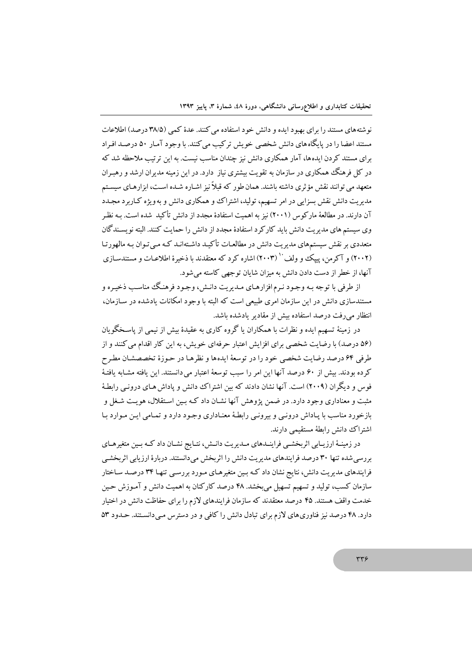نو شته های مستند را برای بهبود ایده و دانش خود استفاده می کنند. عدهٔ کمبی (۳۸/۵ درصد) اطلاعات مستند اعضا را در پایگاه های دانش شخصی خویش ترکیب می کنند. با وجود آمـار ۵۰ درصـد افـراد برای مستند کردن ایدهها، آمار همکاری دانش نیز چندان مناسب نیست. به این ترتیب ملاحظه شد که در کل فرهنگ همکاری در سازمان به تقویت بیشتری نیاز دارد. در این زمینه مدیران ارشد و رهبـران متعهد می توانند نقش مؤ ثری داشته باشند. همان طور که قبلاً نیز اشباره شبده است، ایزار هیای سیستم مدیریت دانش نقش بسزایی در امر تسهیم، تولید، اشتراک و همکاری دانش و به ویژه کـاربرد مجـدد آن دارند. در مطالعهٔ مارکوس (۲۰۰۱) نیز به اهمیت استفادهٔ مجدد از دانش تأکید شده است. بـه نظـر وی سیستم های مدیریت دانش باید کارکرد استفادهٔ مجدد از دانش را حمایت کنند. البته نویسـندگان متعددی بر نقش سیستمهای مدیریت دانش در مطالعـات تأکیـد داشـتهانـد کـه مـی تـوان بـه مالهورتـا (۲۰۰۲) و آکرمن، پیک و ولف (۲۰۰۳) اشاره کرد که معتقدند با ذخیرهٔ اطلاعیات و مستندسیازی آنها، از خطر از دست دادن دانش به میزان شایان توجهی کاسته می شود.

از طرفي با توجه بـه وجـود نـرم افزارهـاي مـديريت دانـش، وجـود فرهنـگ مناسـب ذخيـره و مستندسازی دانش در این سازمان امری طبیعی است که البته با وجود امکانات یادشده در سـازمان، انتظار می رفت درصد استفاده بیش از مقادیر یادشده باشد.

در زمینهٔ تسهیم ایده و نظرات با همکاران یا گروه کاری به عقیدهٔ بیش از نیمی از پاسـخگو یان (۵۶ درصد) با رضایت شخصی برای افزایش اعتبار حرفهای خویش، به این کار اقدام می کنند و از طرفي ۶۴ درصد رضايت شخصي خود را در توسعهٔ ايدهها و نظرهـا در حـوزهٔ تخصصشـان مطـرح كرده بودند. بيش از ۶۰ درصد آنها اين امر را سبب توسعهٔ اعتبار مي دانستند. اين يافته مشـابه يافتـهٔ فوس و دیگران (۲۰۰۹) است. آنها نشان دادند که بین اشتراک دانش و یاداش هـای درونـی رابطـهٔ مثبت و معناداری وجود دارد. در ضمن یژوهش آنها نشـان داد کـه بـین اسـتقلال، هویـت شـغل و بازخورد مناسب با یـاداش درونـی و بیرونـی رابطـهٔ معنـاداری وجـود دارد و تمـامی ایـن مـوارد بـا اشتراك دانش رابطهٔ مستقیمی دارند.

در زمینـهٔ ارزیـابی اثربخشـی فراینـدهای مـدیریت دانـش، نتـایج نشـان داد کـه بـین متغیرهـای بررسی شده تنها ۳۰ درصد فرایندهای مدیریت دانش را اثربخش میدانستند. دربارهٔ ارزیابی اثربخشبی فرایندهای مدیریت دانش، نتایج نشان داد کـه بـین متغیرهـای مـورد بررسـی تنهـا ۳۴ درصـد سـاختار سازمان کسب، تولید و تسهیم تسهیل میبخشد. ۴۸ درصد کارکنان به اهمیت دانش و آمـوزش حـین خدمت واقف هستند. ۴۵ درصد معتقدند که سازمان فرایندهای لازم را برای حفاظت دانش در اختیار دارد. ۴۸ درصد نیز فناوریهای لازم برای تبادل دانش را کافی و در دسترس میدانستند. حدود ۵۳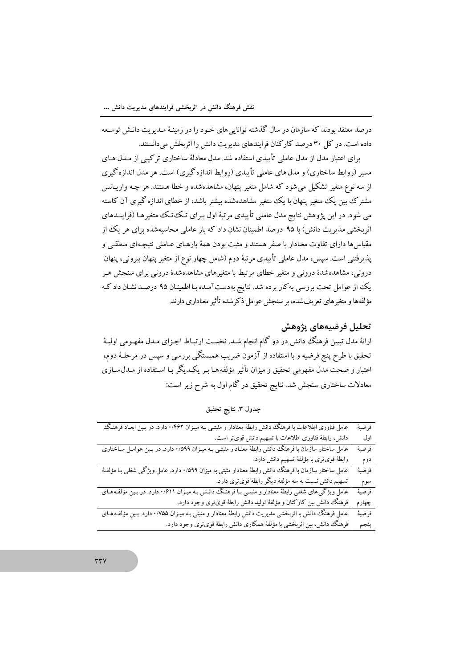درصد معتقد بودند که سازمان در سال گذشته توانایی های خـود را در زمینـهٔ مـدیریت دانـش توسـعه داده است. در کل ۳۰ درصد کارکنان فرایندهای مدیریت دانش را اثربخش می دانستند.

برای اعتبار مدل از مدل عاملی تأییدی استفاده شد. مدل معادلهٔ ساختاری ترکیبی از مـدل هـای مسیر (روابط ساختاری) و مدل های عاملی تأییدی (روابط اندازه گیری) است. هر مدل اندازه گیری از سه نوع متغیر تشکیل می شود که شامل متغیر پنهان، مشاهدهشده و خطا هستند. هر چـه واریـانس مشترک بین یک متغیر پنهان با یک متغیر مشاهدهشده بیشتر باشد، از خطای اندازه گیری آن کاسته می شود. در این پژوهش نتایج مدل عاملی تأییدی مرتبهٔ اول بـرای تـکـُتـک متغیرهـا (فراینـدهای اثربخشی مدیریت دانش) با ۹۵ درصد اطمینان نشان داد که بار عاملی محاسبهشده برای هر یک از مقیاس ها دارای تفاوت معنادار با صفر هستند و مثبت بودن همهٔ بارهـای عـاملی نتیجـهای منطقـی و پذیرفتنی است. سپس، مدل عاملی تأییدی مرتبهٔ دوم (شامل چهار نوع از متغیر پنهان بیرونی، پنهان درونی، مشاهدهشدهٔ درونی و متغیر خطای مرتبط با متغیرهای مشاهدهشدهٔ درونی برای سنجش هـر یک از عوامل تحت بررسی به کار برده شد. نتایج بهدستآمـده بـا اطمینـان ۹۵ درصـد نشـان داد کـه مؤلفهها و متغیرهای تعریفشده، بر سنجش عوامل ذکرشده تأثیر معناداری دارند.

## تحليل فرضيههاي پژوهش

ارائهٔ مدل تبیین فرهنگ دانش در دو گام انجام شـد. نخسـت ارتبـاط اجـزای مـدل مفهـومی اولیـهٔ تحقیق با طرح پنج فرضیه و با استفاده از آزمون ضریب همبستگی بررسی و سپس در مرحلـهٔ دوم، اعتبار و صحت مدل مفهومی تحقیق و میزان تأثیر مؤلفه هـا بـر یکـدیگر بـا اسـتفاده از مـدل سـازی معادلات ساختاری سنجش شد. نتایج تحقیق در گام اول به شرح زیر است:

| عامل فناوری اطلاعات با فرهنگ دانش رابطهٔ معنادار و مثبتـی بـه میـزان ۰/۴۶۲ دارد. در بـین ابعـاد فرهنـگ | فرضية  |
|--------------------------------------------------------------------------------------------------------|--------|
| دانش، رابطهٔ فناوری اطلاعات با تسهیم دانش قویتر است.                                                   | اول    |
| عامل ساختار سازمان با فرهنگ دانش رابطهٔ معنـادار مثبتـی بـه میـزان ۰٬۵۹۹ دارد. در بـین عوامـل سـاختاری | فرضية  |
| رابطهٔ قویتری با مؤلفهٔ تسهیم دانش دارد.                                                               | دوم    |
| عامل ساختار سازمان با فرهنگ دانش رابطهٔ معنادار مثبتی به میزان ۰/۵۹۹ دارد. عامل ویژگی شغلی بـا مؤلفـهٔ | فرضية  |
| تسهیم دانش نسبت به سه مؤلفهٔ دیگر رابطهٔ قویتری دارد.                                                  | سوم    |
| عامل ویژگیهای شغلی رابطهٔ معنادار و مثبتـی بـا فرهنـگ دانـش بـه میـزان ۰/۶۱۱ دارد. در بـین مؤلفـههـای  | فرضيهٔ |
| فرهنگ دانش بین کارکنان و مؤلفهٔ تولید دانش رابطهٔ قویتری وجود دارد.                                    | چهارم  |
| عامل فرهنگ دانش با اثربخشی مدیریت دانش رابطهٔ معنادار و مثبتی بـه میـزان ۰/۷۵۵ دارد. بـین مؤلفـه هـای  | فرضية  |
| فرهنگ دانش، بین اثربخشی با مؤلفهٔ همکاری دانش رابطهٔ قویتری وجود دارد.                                 | ينجم   |

جدول ٣. نتايج تحقيق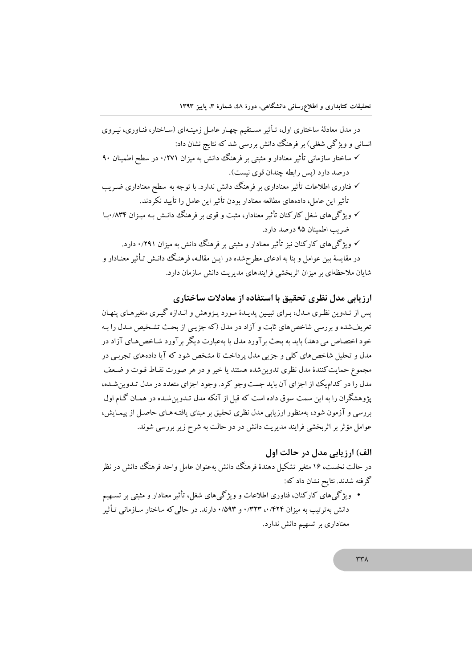در مدل معادلهٔ ساختاری اول، تـأثیر مسـتقیم چهـار عامـل زمینـهای (سـاختار، فنـاوری، نیـروی انسانی و ویژگی شغلی) بر فرهنگ دانش بررسی شد که نتایج نشان داد: √ ساختار سازمانی تأثیر معنادار و مثبتی بر فرهنگ دانش به میزان ۰/۲۷۱ در سطح اطمینان ۹۰ درصد دارد (پس رابطه چندان قوی نیست). √ فناوری اطلاعات تأثیر معناداری بر فرهنگ دانش ندارد. با توجه به سطح معناداری ضـریب تأثير اين عامل، دادههاي مطالعه معنادار بودن تأثير اين عامل را تأييد نكردند. √ ویژگیهای شغل کارکنان تأثیر معنادار، مثبت و قوی بر فرهنگ دانـش بـه میـزان ۸۳۴/ ۱بـا ضرب اطمینان ۹۵ درصد دارد. √ ویژگی&ای کارکنان نیز تأثیر معنادار و مثبتی بر فرهنگ دانش به میزان ۰/۲۹۱ دارد. در مقایسهٔ بین عوامل و بنا به ادعای مطرحشده در ایـن مقالـه، فرهنگَ دانـش تـأثیر معنـادار و شایان ملاحظهای بر میزان اثربخشی فرایندهای مدیریت دانش سازمان دارد.

ارزیابی مدل نظری تحقیق با استفاده از معادلات ساختاری یس از تـدوین نظـری مـدل، بـرای تبیـین پدیـدهٔ مـورد پـژوهش و انـدازه گیـری متغیرهـای پنهـان تعریفشده و بررسی شاخص های ثابت و آزاد در مدل (که جزیبی از بحث تشخیص میدل را به خود اختصاص می دهد) باید به بحث بر آورد مدل یا بهعبارت دیگر بر آورد شـاخص هـای آزاد در .<br>مدل و تحلیل شاخص های کلی و جزیی مدل پرداخت تا مشخص شود که آیا دادههای تجربی در مجموع حمایتکنندهٔ مدل نظری تدوین شده هستند یا خیر و در هر صورت نقـاط قـوت و ضـعف مدل را در کدامیک از اجزای آن باید جست وجو کرد. وجود اجزای متعدد در مدل تـدوین شـده، یژوهشگران را به این سمت سوق داده است که قبل از آنکه مدل تـدوین شـده در همـان گـام اول بررسی و آزمون شود، بهمنظور ارزیابی مدل نظری تحقیق بر مینای یافتـه هـای حاصـل از پیمـایش، عوامل مؤثر بر اثربخشی فرایند مدیریت دانش در دو حالت به شرح زیر بررسی شوند.

الف) ارزیابی مدل در حالت اول

در حالت نخست، ۱۶ متغیر تشکیل دهندهٔ فرهنگ دانش بهعنوان عامل واحد فرهنگ دانش در نظر گرفته شدند. نتایح نشان داد که:

• ویژگیهای کارکنان، فناوری اطلاعات و ویژگیهای شغل، تأثیر معنادار و مثبتی بر تسـهیم دانش به ترتیب به میزان ۰/۴۲۴ ۰۰/۴۲۴ و ۰/۵۹۳ دارند. در حالی که ساختار سـازمانی تـأثیر معناداری بر تسهیم دانش ندارد.

 $\tau\tau\lambda$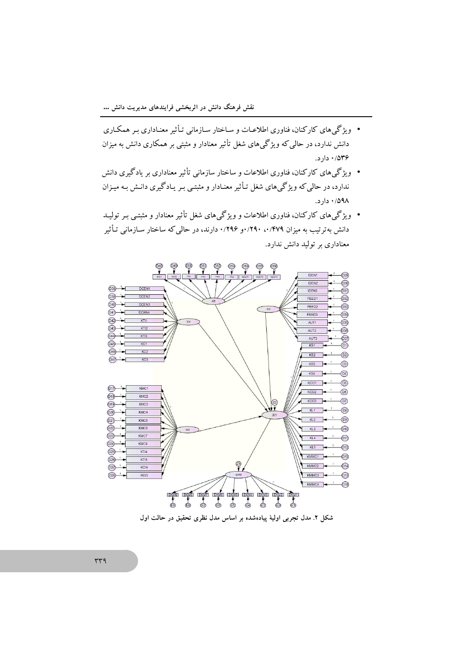- ویژگیهای کارکنان، فناوری اطلاعـات و سـاختار سـازمانی تـأثیر معنـاداری بـر همکـاری دانش ندارد، در حالی که ویژگیهای شغل تأثیر معنادار و مثبتی بر همکاری دانش به میزان .  $15 \cdot 10^{19}$
- ویژگیهای کارکنان، فناوری اطلاعات و ساختار سازمانی تأثیر معناداری بر یادگیری دانش ندارد، در حالمی که ویژگیهای شغل تـأثیر معنـادار و مثبتـی بـر یـادگیری دانـش بـه میـزان ۰/۵۹۸ دار د.
- ویژگیهای کارکنان، فناوری اطلاعات و ویژگیهای شغل تأثیر معنادار و مثبتبی بـر تولیــد دانش بهترتیب به میزان ۰٬۲۹۰ (۰٬۲۹۶ و ۰٬۲۹۶ دارند، در حالی که ساختار سـازمانی تـأثیر معناداری بر تولید دانش ندارد.



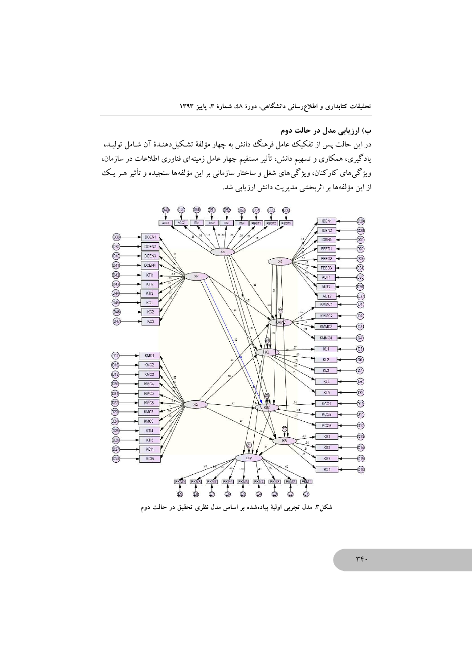ب) ارزیابی مدل در حالت دوم در این حالت پس از تفکیک عامل فرهنگ دانش به چهار مؤلفهٔ تشکیل دهنـدهٔ آن شـامل تولیـد، یادگیری، همکاری و تسهیم دانش، تأثیر مستقیم چهار عامل زمینهای فناوری اطلاعات در سازمان، ویژگی،های کارکنان، ویژگی،های شغل و ساختار سازمانی بر این مؤلفهها سنجیده و تأثیر هـر یـک از این مؤلفهها بر اثربخشی مدیریت دانش ارزیابی شد.



شکل۳. مدل تجربی اولیهٔ پیادهشده بر اساس مدل نظری تحقیق در حالت دوم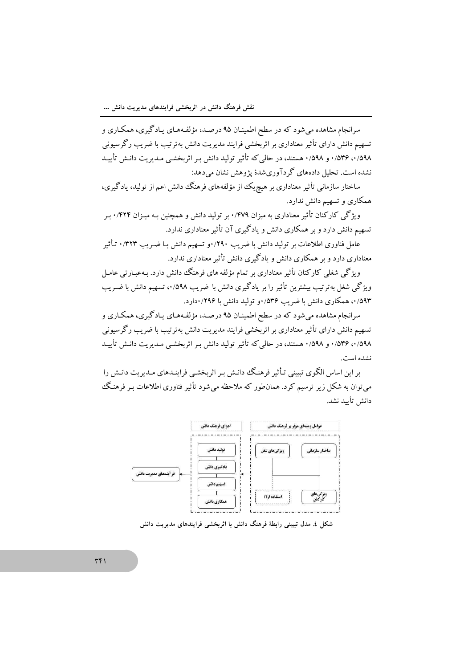سرانجام مشاهده می شود که در سطح اطمینـان ۹۵ درصـد، مؤلفـههـای پـادگیری، همکـاری و تسهیم دانش دارای تأثیر معناداری بر اثربخشی فرایند مدیریت دانش بهترتیب با ضریب رگرسیونی ۰/۵۹۸ تا ۱/۵۳۶ و ۰/۵۹۸ هستند، در حالی که تأثیر تولید دانش بـر اثربخشـی مـدیریت دانـش تأییـد نشده است. تحلیل دادههای گر دآوریشدهٔ یژوهش نشان میدهد:

ساختار سازمانی تأثیر معناداری بر هیچ یک از مؤلفههای فرهنگ دانش اعم از تولید، یادگیری، همکاری و تسهیم دانش ندارد.

ویژگی کارکنان تأثیر معناداری به میزان ۰/۴۷۹ بر تولید دانش و همچنین بـه میـزان ۰/۴۲۴ بـر تسهیم دانش دارد و بر همکاری دانش و یادگیری آن تأثیر معناداری ندارد.

عامل فناوری اطلاعات بر تولید دانش با ضریب ۲۹۰/۲۹۰و تسهیم دانش بـا ضـریب ۰/۳۲۳ تـأثیر معناداری دارد و بر همکاری دانش و یادگیری دانش تأثیر معناداری ندارد.

ویژگی شغلی کارکنان تأثیر معناداری بر تمام مؤلفه های فرهنگ دانش دارد. بـهعبـارتی عامـل ویژگی شغل بهترتیب بیشترین تأثیر را بر یادگیری دانش با ضریب ۰/۵۹۸، تسهیم دانش با ضـریب ۵۹۳/۰، همکاری دانش با ضریب ۵۳۶/۰و تولید دانش با ۲۹۶/۰دارد.

سرانجام مشاهده میشود که در سطح اطمینـان ۹۵ درصـد، مؤلفـههـای یـادگیری، همکـاری و تسهیم دانش دارای تأثیر معناداری بر اثربخشی فرایند مدیریت دانش بهترتیب با ضریب رگرسیونی ٥/٥٩٨، ١/٥٣۶، و ٠/٥٩٨، هستند، در حالي كه تأثير توليد دانش بـر اثربخشـي مـديريت دانـش تأييـد نشده است.

بر این اساس الگوی تبیینی تـأثیر فرهنگ دانـش بـر اثربخشـی فراینـدهای مـدیریت دانـش را می توان به شکل زیر ترسیم کرد. همان $d$ ور که ملاحظه می شود تأثیر فناوری اطلاعات بـر فرهنگ دانش تأسد نشد.



شکل ٤. مدل تبیینی رابطهٔ فرهنگ دانش با اثربخشی فرایندهای مدیریت دانش

 $\overline{r}$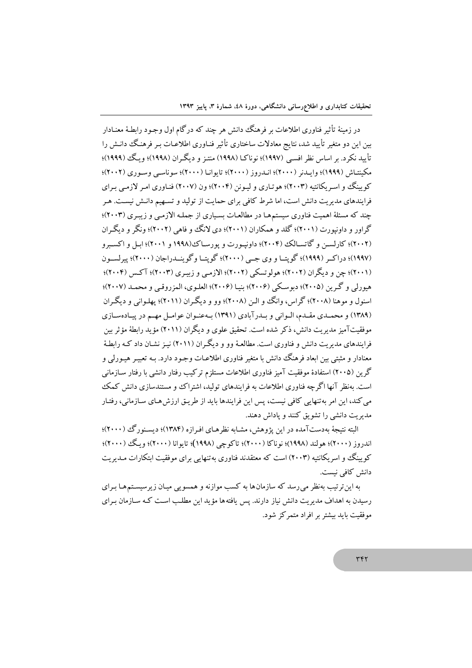در زمینهٔ تأثیر فناوری اطلاعات بر فرهنگ دانش هر چند که درگام اول وجـود رابطـهٔ معنـادار بین این دو متغیر تأیید شد، نتایج معادلات ساختاری تأثیر فنـاوری اطلاعـات بـر فرهنگ دانـش را تأیید نکرد. بر اساس نظر افسـی (۱۹۹۷)؛ نوناکـا (۱۹۹۸) منتـز و دیگـر ان (۱۹۹۸)؛ و یگ (۱۹۹۹)؛ مكينتـاش (١٩٩٩)؛ وإيــدنر (٢٠٠٠)؛ انــدروز (٢٠٠٠)؛ تايوانـا (٢٠٠٠)؛ سوناسـبي وســوري (٢٠٠٢)؛ کو سنگ و اسه پکانتبه (۲۰۰۳)؛ هو تیاری و لیونن (۲۰۰۴)؛ ون (۲۰۰۷) فنیاوری امیر لازمی برای فرایندهای مدیریت دانش است، اما شرط کافی برای حمایت از تولید و تسهیم دانـش نیسـت. هـر چند که مسئلهٔ اهمیت فناوری سیستمها در مطالعات بسیاری از جملـه الازمـی و زیبـری (۲۰۰۳)؛ گراور و داونیورت (۲۰۰۱)؛ گلد و همکاران (۲۰۰۱)؛ دی لانگ و فاهی (۲۰۰۲)؛ ونگر و دیگران (۲۰۰۲)؛ کارلسـن و گاتسـالک (۲۰۰۴)؛ داونيـورت و يورسـاک(۱۹۹۸ و ۲۰۰۱)؛ ابـل و اکسـبرو (١٩٩٧)؛ دراكير (١٩٩٩)؛ گويتيا و وي جسي (٢٠٠٠)؛ گويتيا و گوينيدراجان (٢٠٠٠)؛ پيرلسيون (۲۰۰۱)؛ چن و دیگران (۲۰۰۲)؛ هولوتسکی (۲۰۰۲)؛ الازمبی و زبیری (۲۰۰۳)؛ آکس (۲۰۰۴)؛ هيورلي و گرين (٢٠٠٥)؛ ديوسكي (٢٠٠۶)؛ بنيـا (٢٠٠۶)؛ العلـوي، المزروقـي و محمـد (٢٠٠٧)؛ اسنول و موهنا (۲۰۰۸)؛ گراس، وانگ و الــز (۲۰۰۸)؛ وو و دیگـران (۲۰۱۱)؛ پهلـوانی و دیگـران (۱۳۸۹) و محمـدي مقـدم، الـواني و بـدرآبادي (۱۳۹۱) بـهعنـوان عوامـل مهـم در پيـادهسـازي موفقیتآمیز مدیریت دانش، ذکر شده است. تحقیق علوی و دیگران (۲۰۱۱) مؤید رابطهٔ مؤثر بین فرایندهای مدیریت دانش و فناوری است. مطالعـهٔ وو و دیگـران (۲۰۱۱) نیـز نشـان داد کـه راىطـهٔ معنادار و مثبتی بین ابعاد فرهنگ دانش با متغیر فناوری اطلاعـات وجـود دارد. بـه تعبیـر هیـورلی و گرین (۲۰۰۵) استفادهٔ موفقیت آمیز فناوری اطلاعات مستلزم ترکیب رفتار دانشی با رفتار سـازمانبی است. بهنظر آنها اگرچه فناوری اطلاعات به فرایندهای تولید، اشتراک و مستندسازی دانش کمک می کند، این امر بهتنهایی کافی نیست، پس این فرایندها باید از طریـق ارزش هـای سـازمانی، رفتـار مدیریت دانشی را تشویق کنند و یاداش دهند.

البته نتیجهٔ بهدستآمده در این پژوهش، مشـابه نظرهـای افـرازه (۱۳۸۴)؛ دیسـنورگ (۲۰۰۰)؛ اندروز (۲۰۰۰)؛ هولند (۱۹۹۸)؛ نوناکا (۲۰۰۰)؛ تاکوچی (۱۹۹۸)؛ تایوانا (۲۰۰۰)؛ ویگ (۲۰۰۰)؛ کوپینگ و اسریکانتیه (۲۰۰۳) است که معتقدند فناوری به تنهایی برای موفقیت ابتکارات مـدیریت دانش كافي نيست.

به این ترتیب بهنظر می رسد که سازمان ها به کسب موازنه و همسویی میـان زیرسیسـتم هـا بـرای رسیدن به اهداف مدیریت دانش نیاز دارند. پس یافته ها مؤید این مطلب است کـه سـازمان بـرای موفقیت باید بیشتر بر افراد متمرکز شود.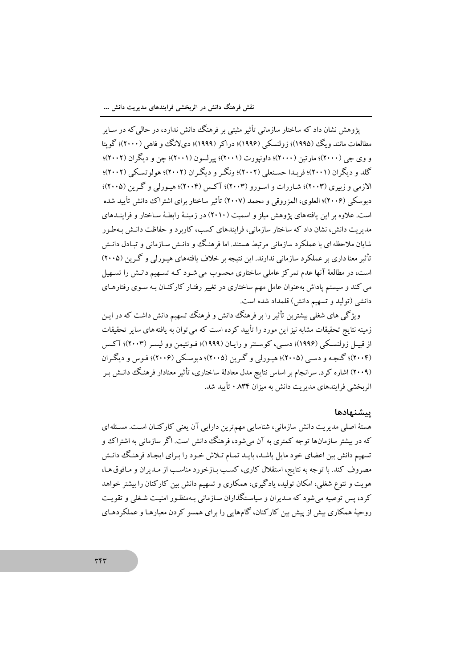یژوهش نشان داد که ساختار سازمانی تأثیر مثبتی بر فرهنگ دانش ندارد، در حالمی که در سـایر مطالعات مانند و یگ (۱۹۹۵)؛ زولنسکی (۱۹۹۶)؛ دراکر (۱۹۹۹)؛ دیلانگ وو فاهی (۲۰۰۰)؛ گویتا و وي جي (٢٠٠٠)؛ مارتين (٢٠٠٠)؛ داونيورت (٢٠٠١)؛ پيرلسون (٢٠٠١)؛ چن و ديگران (٢٠٠٢)؛ گلد و دیگران (۲۰۰۱)؛ فریـدا حسـنعلمی (۲۰۰۲)؛ ونگـر و دیگـران (۲۰۰۲)؛ هولو تسـکـی (۲۰۰۲)؛ الازمی و زیبری (۲۰۰۳)؛ شیار رات و اسبور و (۲۰۰۳)؛ آکس (۲۰۰۴)؛ هیبورلی و گیرین (۲۰۰۵)؛ دبوسکی (۲۰۰۶)؛ العلوی، المزروقی و محمد (۲۰۰۷) تأثیر ساختار برای اشتراک دانش تأیید شده است. علاوه بر این یافتههای یژوهش ملز و اسمت (۲۰۱۰) در زمینهٔ رابطهٔ ساختار و فرایندهای مدیریت دانش، نشان داد که ساختار سازمانی، فرایندهای کسب، کاربرد و حفاظت دانـش بـهطـور شایان ملاحظه ای با عملکرد سازمانی مرتبط هستند. اما فرهنگ و دانـش سـازمانی و تبـادل دانـش تأثیر معنا داری بر عملکرد سازمانی ندارند. این نتیجه بر خلاف یافتههای هیـورلی و گـرین (۲۰۰۵) است، در مطالعهٔ آنها عدم تمرکز عاملی ساختاری محسوب می شـود کـه تسـهیم دانـش را تسـهیل می کند و سیستم پاداش بهعنوان عامل مهم ساختاری در تغییر رفتـار کارکنـان بـه سـوی رفتارهـای دانشی (تولید و تسهیم دانش) قلمداد شده است.

ویژگی های شغلی بیشترین تأثیر را بر فرهنگ دانش و فرهنگ تسهیم دانش داشت که در ایـن زمینه نتایج تحقیقات مشابه نیز این مورد را تأیید کرده است که می توان به یافته های سایر تحقیقات از قبیـل زولنسـکی (۱۹۹۶)؛ دسـی، کوسـتنر و رایـان (۱۹۹۹)؛ فـونتیمن وو لیسـر (۲۰۰۳)؛ آکـس (۲۰۰۴)؛ گنجـه و دسـی (۲۰۰۵)؛ هیـورلی و گـرین (۲۰۰۵)؛ دبوسـکی (۲۰۰۶)؛ فـوس و دیگـران (۲۰۰۹) اشاره کرد. سرانجام بر اساس نتایج مدل معادلهٔ ساختاری، تأثیر معنادار فرهنگ دانـش بـر اثر بخشی فرایندهای مدیریت دانش به میزان ۸۳۴ ۰ تأیید شد.

### يتشنهادها

هستهٔ اصلی مدیریت دانش سازمانی، شناسایی مهمترین دارایی آن یعنی کارکنـان اسـت. مسـئله۱ی که در بیشتر سازمانها توجه کمتری به آن میشود، فرهنگ ددانش است. اگر سازمانی به اشتراک و تسهیم دانش بین اعضای خود مایل باشـد، بایـد تمـام تـلاش خـود را بـرای ایجـاد فرهنـگ دانـش مصروف کند. با توجه به نتایج، استقلال کاری، کسب بازخورد مناسب از مبدیران و مبافوق هبا، هویت و تنوع شغلی، امکان تولید، یادگیری، همکاری و تسهیم دانش بین کارکنان را بیشتر خواهد کرد، پس توصیه می شود که مـدیران و سیاسـتگذاران سـازمانی بـهمنظـور امنیـت شـغلی و تقویـت روحیهٔ همکاری بیش از پیش بین کارکنان، گامهایی را برای همسو کردن معیارهـا و عملکردهـای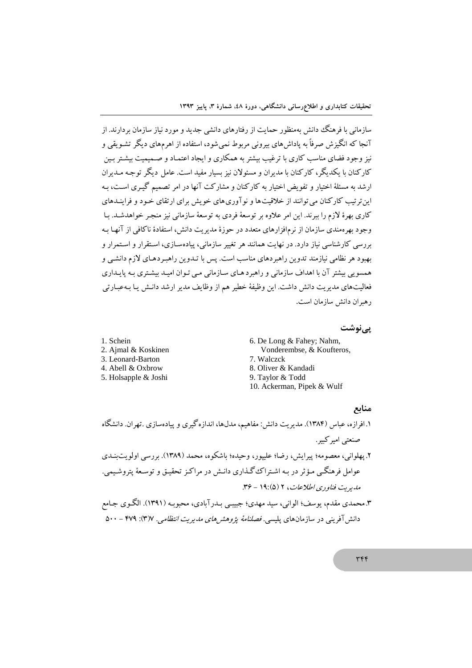سازمانی با فرهنگ دانش بهمنظور حمایت از رفتارهای دانشی جدید و مورد نیاز سازمان بردارند. از آنجا که انگیزش صرفاً به یاداش های بیرونی مربوط نمی شود، استفاده از اهرمهای دیگر تشـویقی و نیز وجود فضای مناسب کاری با ترغیب بیشتر به همکاری و ایجاد اعتمـاد و صـمیمیت بیشـتر بـین کارکنان با یکدیگر، کارکنان با مدیران و مسئولان نیز بسیار مفید است. عامل دیگر توجـه مـدیران ارشد به مسئلهٔ اختیار و تفویض اختیار به کارکنان و مشارکت آنها در امر تصمیم گیری است، به این تر تیب کارکنان می توانند از خلاقیتها و نو آوری های خویش برای ارتقای خـود و فراینـدهای کاری بهرهٔ لازم را ببرند. این امر علاوه بر توسعهٔ فردی به توسعهٔ سازمانی نیز منجـر خواهدشـد. بـا وجود بهرهمندی سازمان از نرمافزارهای متعدد در حوزهٔ مدیریت دانش، استفادهٔ ناکافی از آنهـا بـه بررسی کارشناسی نیاز دارد. در نهایت همانند هر تغییر سازمانی، پیادهسـازی، اسـتقرار و اسـتمرار و بهبود هر نظامی نیازمند تدوین راهبردهای مناسب است. پس با تـدوین راهبـردهـای لازم دانشـی و همسویی بیشتر آن با اهداف سازمانی و راهبردهای سازمانی مبی تـوان امیـد بیشـتری بـه پایـداری فعالیتهای مدیریت دانش داشت. این وظیفهٔ خطیر هم از وظایف مدیر ارشد دانـش پـا بـهعبـارتی ر هيران دانش سازمان است.

### یے نوشت

6. De Long & Fahey; Nahm, 2. Ajmal & Koskinen Vonderembse, & Koufteros, 7. Walczck 8. Oliver & Kandadi 5. Holsapple & Joshi 9. Taylor & Todd 10. Ackerman, Pipek & Wulf

1. Schein

3. Leonard-Barton

4. Abell & Oxbrow

### منابع

۱. افرازه، عباس (۱۳۸۴). مدیریت دانش: مفاهیم، مدل۵ا، اندازه گیری و ییادهسازی .تهران. دانشگاه صنعتي امير کيبر. ۲. پهلوانی، معصومه؛ پیرایش، رضا؛ علیپور، وحیده؛ باشکوه، محمد (۱۳۸۹). بررسی اولویتبنـدی عوامل فرهنگــی مـؤثر در بـه اشــتراک گــذاری دانــش در مراکـز تحقیــق و توســعهٔ يتروشـيمي. مدیریت فناوری اطلاعات، ۲ (۵):۱۹ - ۳۶. ۳.محمدی مقدم، یوسف؛ الوانی، سید مهدی؛ جبیبی بـدرآبادی، محبوبـه (۱۳۹۱). الگـوی جـامع دانش آفرینی در سازمانهای پلیسی. *فصلنامهٔ پژوهش های مدیریت انتظامی.* ۳۷۷. ۴۷۹ - ۵۰۰

٣۴۴